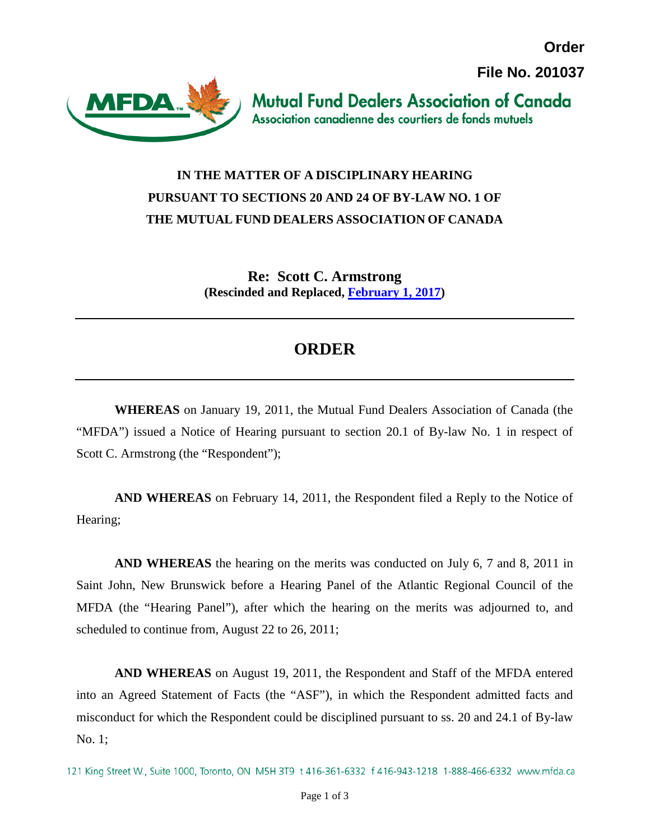**Order File No. 201037**



**Mutual Fund Dealers Association of Canada** Association canadienne des courtiers de fonds mutuels

## **IN THE MATTER OF A DISCIPLINARY HEARING PURSUANT TO SECTIONS 20 AND 24 OF BY-LAW NO. 1 OF THE MUTUAL FUND DEALERS ASSOCIATION OF CANADA**

**Re: Scott C. Armstrong (Rescinded and Replaced, [February 1, 2017\)](http://mfda.ca/wp-content/uploads/2017-02-01-Settlement_Approval_Order.pdf)**

## **ORDER**

**WHEREAS** on January 19, 2011, the Mutual Fund Dealers Association of Canada (the "MFDA") issued a Notice of Hearing pursuant to section 20.1 of By-law No. 1 in respect of Scott C. Armstrong (the "Respondent");

**AND WHEREAS** on February 14, 2011, the Respondent filed a Reply to the Notice of Hearing;

**AND WHEREAS** the hearing on the merits was conducted on July 6, 7 and 8, 2011 in Saint John, New Brunswick before a Hearing Panel of the Atlantic Regional Council of the MFDA (the "Hearing Panel"), after which the hearing on the merits was adjourned to, and scheduled to continue from, August 22 to 26, 2011;

**AND WHEREAS** on August 19, 2011, the Respondent and Staff of the MFDA entered into an Agreed Statement of Facts (the "ASF"), in which the Respondent admitted facts and misconduct for which the Respondent could be disciplined pursuant to ss. 20 and 24.1 of By-law No. 1;

<sup>121</sup> King Street W., Suite 1000, Toronto, ON M5H 3T9 t 416-361-6332 f 416-943-1218 1-888-466-6332 www.mfda.ca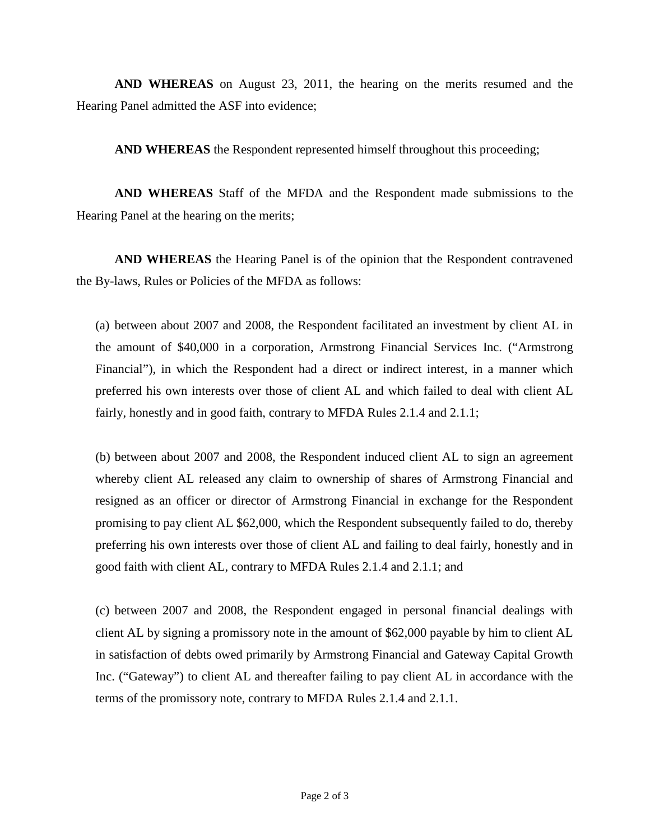**AND WHEREAS** on August 23, 2011, the hearing on the merits resumed and the Hearing Panel admitted the ASF into evidence;

**AND WHEREAS** the Respondent represented himself throughout this proceeding;

**AND WHEREAS** Staff of the MFDA and the Respondent made submissions to the Hearing Panel at the hearing on the merits;

**AND WHEREAS** the Hearing Panel is of the opinion that the Respondent contravened the By-laws, Rules or Policies of the MFDA as follows:

(a) between about 2007 and 2008, the Respondent facilitated an investment by client AL in the amount of \$40,000 in a corporation, Armstrong Financial Services Inc. ("Armstrong Financial"), in which the Respondent had a direct or indirect interest, in a manner which preferred his own interests over those of client AL and which failed to deal with client AL fairly, honestly and in good faith, contrary to MFDA Rules 2.1.4 and 2.1.1;

(b) between about 2007 and 2008, the Respondent induced client AL to sign an agreement whereby client AL released any claim to ownership of shares of Armstrong Financial and resigned as an officer or director of Armstrong Financial in exchange for the Respondent promising to pay client AL \$62,000, which the Respondent subsequently failed to do, thereby preferring his own interests over those of client AL and failing to deal fairly, honestly and in good faith with client AL, contrary to MFDA Rules 2.1.4 and 2.1.1; and

(c) between 2007 and 2008, the Respondent engaged in personal financial dealings with client AL by signing a promissory note in the amount of \$62,000 payable by him to client AL in satisfaction of debts owed primarily by Armstrong Financial and Gateway Capital Growth Inc. ("Gateway") to client AL and thereafter failing to pay client AL in accordance with the terms of the promissory note, contrary to MFDA Rules 2.1.4 and 2.1.1.